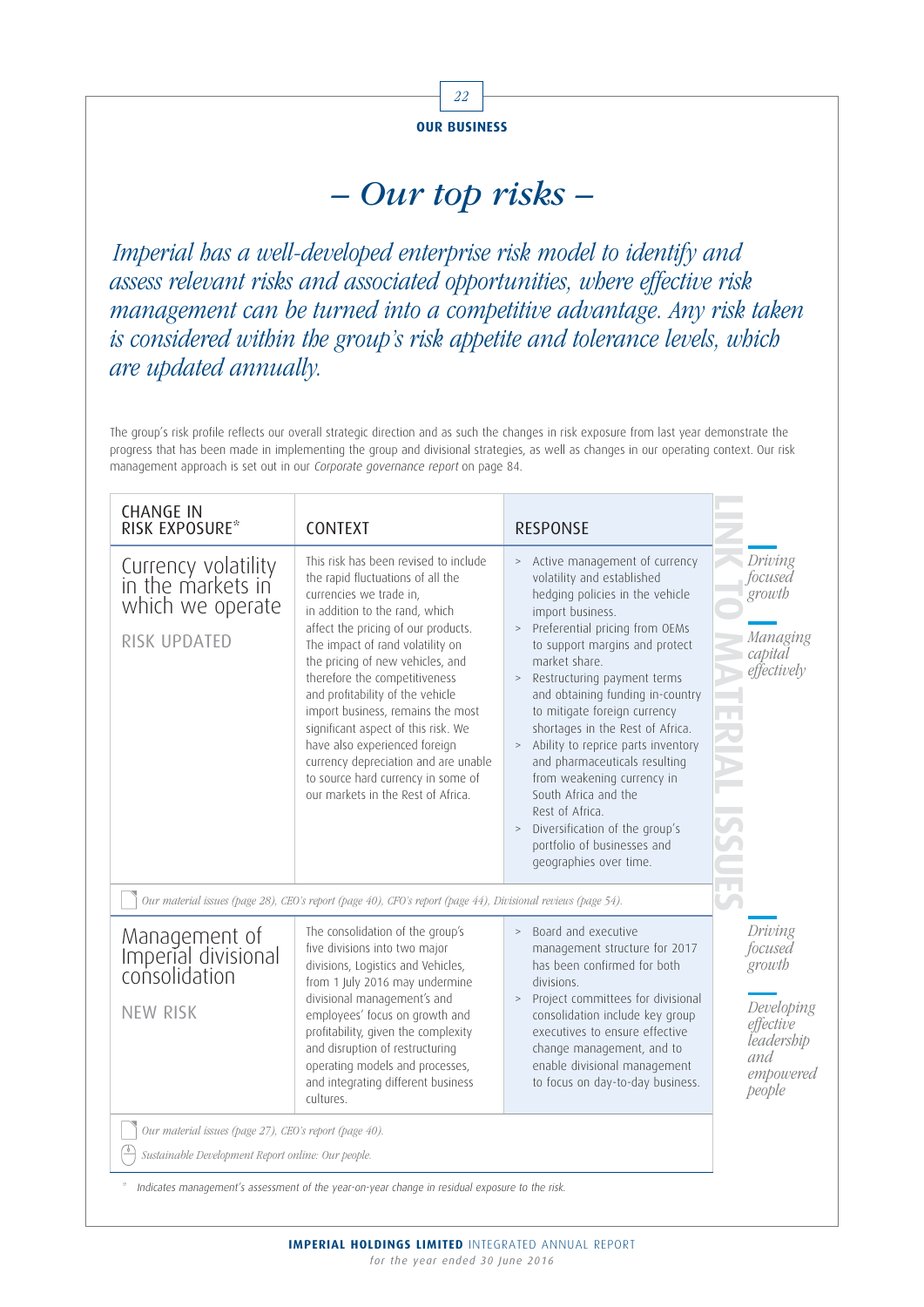

## – Our top risks –

Imperial has a well-developed enterprise risk model to identify and assess relevant risks and associated opportunities, where effective risk management can be turned into a competitive advantage. Any risk taken is considered within the group's risk appetite and tolerance levels, which are updated annually.

The group's risk profile reflects our overall strategic direction and as such the changes in risk exposure from last year demonstrate the progress that has been made in implementing the group and divisional strategies, as well as changes in our operating context. Our risk management approach is set out in our Corporate governance report on page 84.

| <b>CHANGE IN</b><br>RISK EXPOSURE*                                                                           | <b>CONTEXT</b>                                                                                                                                                                                                                                                                                                                                                                                                                                                                                                                                               | <b>RESPONSE</b>                                                                                                                                                                                                                                                                                                                                                                                                                                                                                                                                                                                                    |                                                                                                     |
|--------------------------------------------------------------------------------------------------------------|--------------------------------------------------------------------------------------------------------------------------------------------------------------------------------------------------------------------------------------------------------------------------------------------------------------------------------------------------------------------------------------------------------------------------------------------------------------------------------------------------------------------------------------------------------------|--------------------------------------------------------------------------------------------------------------------------------------------------------------------------------------------------------------------------------------------------------------------------------------------------------------------------------------------------------------------------------------------------------------------------------------------------------------------------------------------------------------------------------------------------------------------------------------------------------------------|-----------------------------------------------------------------------------------------------------|
| Currency volatility<br>in the markets in<br>which we operate<br>RISK UPDATED                                 | This risk has been revised to include<br>the rapid fluctuations of all the<br>currencies we trade in,<br>in addition to the rand, which<br>affect the pricing of our products.<br>The impact of rand volatility on<br>the pricing of new vehicles, and<br>therefore the competitiveness<br>and profitability of the vehicle<br>import business, remains the most<br>significant aspect of this risk. We<br>have also experienced foreign<br>currency depreciation and are unable<br>to source hard currency in some of<br>our markets in the Rest of Africa. | > Active management of currency<br>volatility and established<br>hedging policies in the vehicle<br>import business.<br>> Preferential pricing from OEMs<br>to support margins and protect<br>market share.<br>Restructuring payment terms<br>$\, >$<br>and obtaining funding in-country<br>to mitigate foreign currency<br>shortages in the Rest of Africa.<br>> Ability to reprice parts inventory<br>and pharmaceuticals resulting<br>from weakening currency in<br>South Africa and the<br>Rest of Africa.<br>Diversification of the group's<br>$\,>$<br>portfolio of businesses and<br>geographies over time. | Driving<br>focused<br>growth<br>Managing<br>capital<br>effectively<br>т<br>m.                       |
| Our material issues (page 28), CEO's report (page 40), CFO's report (page 44), Divisional reviews (page 54). |                                                                                                                                                                                                                                                                                                                                                                                                                                                                                                                                                              |                                                                                                                                                                                                                                                                                                                                                                                                                                                                                                                                                                                                                    |                                                                                                     |
| Management of<br>Imperial divisional<br>consolidation<br><b>NEW RISK</b>                                     | The consolidation of the group's<br>five divisions into two major<br>divisions, Logistics and Vehicles,<br>from 1 July 2016 may undermine<br>divisional management's and<br>employees' focus on growth and<br>profitability, given the complexity<br>and disruption of restructuring<br>operating models and processes,<br>and integrating different business<br>cultures.                                                                                                                                                                                   | > Board and executive<br>management structure for 2017<br>has been confirmed for both<br>divisions.<br>Project committees for divisional<br>$\, >$<br>consolidation include key group<br>executives to ensure effective<br>change management, and to<br>enable divisional management<br>to focus on day-to-day business.                                                                                                                                                                                                                                                                                           | Driving<br>focused<br>growth<br>Developing<br>effective<br>leadership<br>and<br>empowered<br>people |
| Our material issues (page 27), CEO's report (page 40).<br>Sustainable Development Report online: Our people. | Indicates management's assessment of the year-on-year change in residual exposure to the risk.                                                                                                                                                                                                                                                                                                                                                                                                                                                               |                                                                                                                                                                                                                                                                                                                                                                                                                                                                                                                                                                                                                    |                                                                                                     |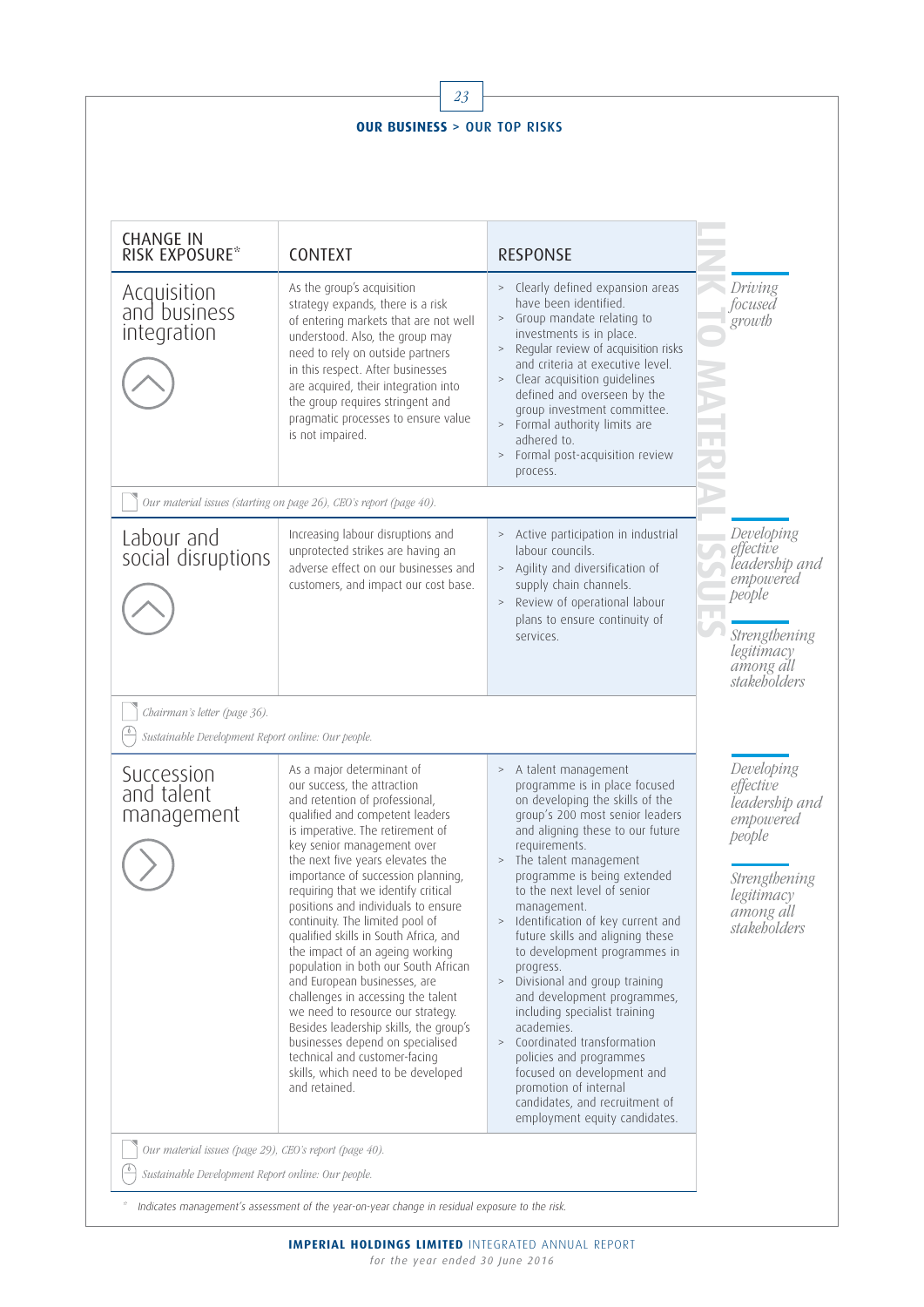|                                                                                    | 23                                                                                                                                                                                                                                                                                                                                                                                                                                                                                                                                                                                                                                                                                                                                                                                              |                                                                                                                                                                                                                                                                                                                                                                                                                                                                                                                                                                                                                                                                                                                                                |                                                                                                                              |
|------------------------------------------------------------------------------------|-------------------------------------------------------------------------------------------------------------------------------------------------------------------------------------------------------------------------------------------------------------------------------------------------------------------------------------------------------------------------------------------------------------------------------------------------------------------------------------------------------------------------------------------------------------------------------------------------------------------------------------------------------------------------------------------------------------------------------------------------------------------------------------------------|------------------------------------------------------------------------------------------------------------------------------------------------------------------------------------------------------------------------------------------------------------------------------------------------------------------------------------------------------------------------------------------------------------------------------------------------------------------------------------------------------------------------------------------------------------------------------------------------------------------------------------------------------------------------------------------------------------------------------------------------|------------------------------------------------------------------------------------------------------------------------------|
|                                                                                    | <b>OUR BUSINESS &gt; OUR TOP RISKS</b>                                                                                                                                                                                                                                                                                                                                                                                                                                                                                                                                                                                                                                                                                                                                                          |                                                                                                                                                                                                                                                                                                                                                                                                                                                                                                                                                                                                                                                                                                                                                |                                                                                                                              |
|                                                                                    |                                                                                                                                                                                                                                                                                                                                                                                                                                                                                                                                                                                                                                                                                                                                                                                                 |                                                                                                                                                                                                                                                                                                                                                                                                                                                                                                                                                                                                                                                                                                                                                |                                                                                                                              |
| <b>CHANGE IN</b><br>RISK EXPOSURE*                                                 | <b>CONTEXT</b>                                                                                                                                                                                                                                                                                                                                                                                                                                                                                                                                                                                                                                                                                                                                                                                  | <b>RESPONSE</b>                                                                                                                                                                                                                                                                                                                                                                                                                                                                                                                                                                                                                                                                                                                                |                                                                                                                              |
| Acquisition<br>and business<br>integration                                         | As the group's acquisition<br>strategy expands, there is a risk<br>of entering markets that are not well<br>understood. Also, the group may<br>need to rely on outside partners<br>in this respect. After businesses<br>are acquired, their integration into<br>the group requires stringent and<br>pragmatic processes to ensure value<br>is not impaired.                                                                                                                                                                                                                                                                                                                                                                                                                                     | > Clearly defined expansion areas<br>have been identified.<br>Group mandate relating to<br>$\,>$<br>investments is in place.<br>Regular review of acquisition risks<br>$\, >$<br>and criteria at executive level.<br>Clear acquisition guidelines<br>$\, >$<br>defined and overseen by the<br>group investment committee.<br>> Formal authority limits are<br>adhered to.<br>Formal post-acquisition review<br>$\, >$<br>process.                                                                                                                                                                                                                                                                                                              | Driving<br>focused<br>growth                                                                                                 |
|                                                                                    | Our material issues (starting on page 26), CEO's report (page 40).                                                                                                                                                                                                                                                                                                                                                                                                                                                                                                                                                                                                                                                                                                                              |                                                                                                                                                                                                                                                                                                                                                                                                                                                                                                                                                                                                                                                                                                                                                |                                                                                                                              |
| Labour and<br>social disruptions                                                   | Increasing labour disruptions and<br>unprotected strikes are having an<br>adverse effect on our businesses and<br>customers, and impact our cost base.                                                                                                                                                                                                                                                                                                                                                                                                                                                                                                                                                                                                                                          | > Active participation in industrial<br>labour councils.<br>> Agility and diversification of<br>supply chain channels.<br>Review of operational labour<br>$\, >$<br>plans to ensure continuity of<br>services.                                                                                                                                                                                                                                                                                                                                                                                                                                                                                                                                 | Developing<br>effective<br>leadership and<br>empowered<br>people<br>Strengthening<br>legitimacy<br>among all<br>stakeholders |
| Chairman's letter (page 36).<br>Sustainable Development Report online: Our people. |                                                                                                                                                                                                                                                                                                                                                                                                                                                                                                                                                                                                                                                                                                                                                                                                 |                                                                                                                                                                                                                                                                                                                                                                                                                                                                                                                                                                                                                                                                                                                                                |                                                                                                                              |
| Succession<br>and talent<br>management                                             | As a major determinant of<br>our success, the attraction<br>and retention of professional,<br>qualified and competent leaders<br>is imperative. The retirement of<br>key senior management over<br>the next five years elevates the<br>importance of succession planning,<br>requiring that we identify critical<br>positions and individuals to ensure<br>continuity. The limited pool of<br>qualified skills in South Africa, and<br>the impact of an ageing working<br>population in both our South African<br>and European businesses, are<br>challenges in accessing the talent<br>we need to resource our strategy.<br>Besides leadership skills, the group's<br>businesses depend on specialised<br>technical and customer-facing<br>skills, which need to be developed<br>and retained. | > A talent management<br>programme is in place focused<br>on developing the skills of the<br>group's 200 most senior leaders<br>and aligning these to our future<br>requirements.<br>> The talent management<br>programme is being extended<br>to the next level of senior<br>management.<br>Identification of key current and<br>$\, >$<br>future skills and aligning these<br>to development programmes in<br>progress.<br>Divisional and group training<br>$\, >$<br>and development programmes,<br>including specialist training<br>academies.<br>Coordinated transformation<br>$\,>$<br>policies and programmes<br>focused on development and<br>promotion of internal<br>candidates, and recruitment of<br>employment equity candidates. | Developing<br>effective<br>leadership and<br>empowered<br>people<br>Strengthening<br>legitimacy<br>among all<br>stakeholders |

\* Indicates management's assessment of the year-on-year change in residual exposure to the risk.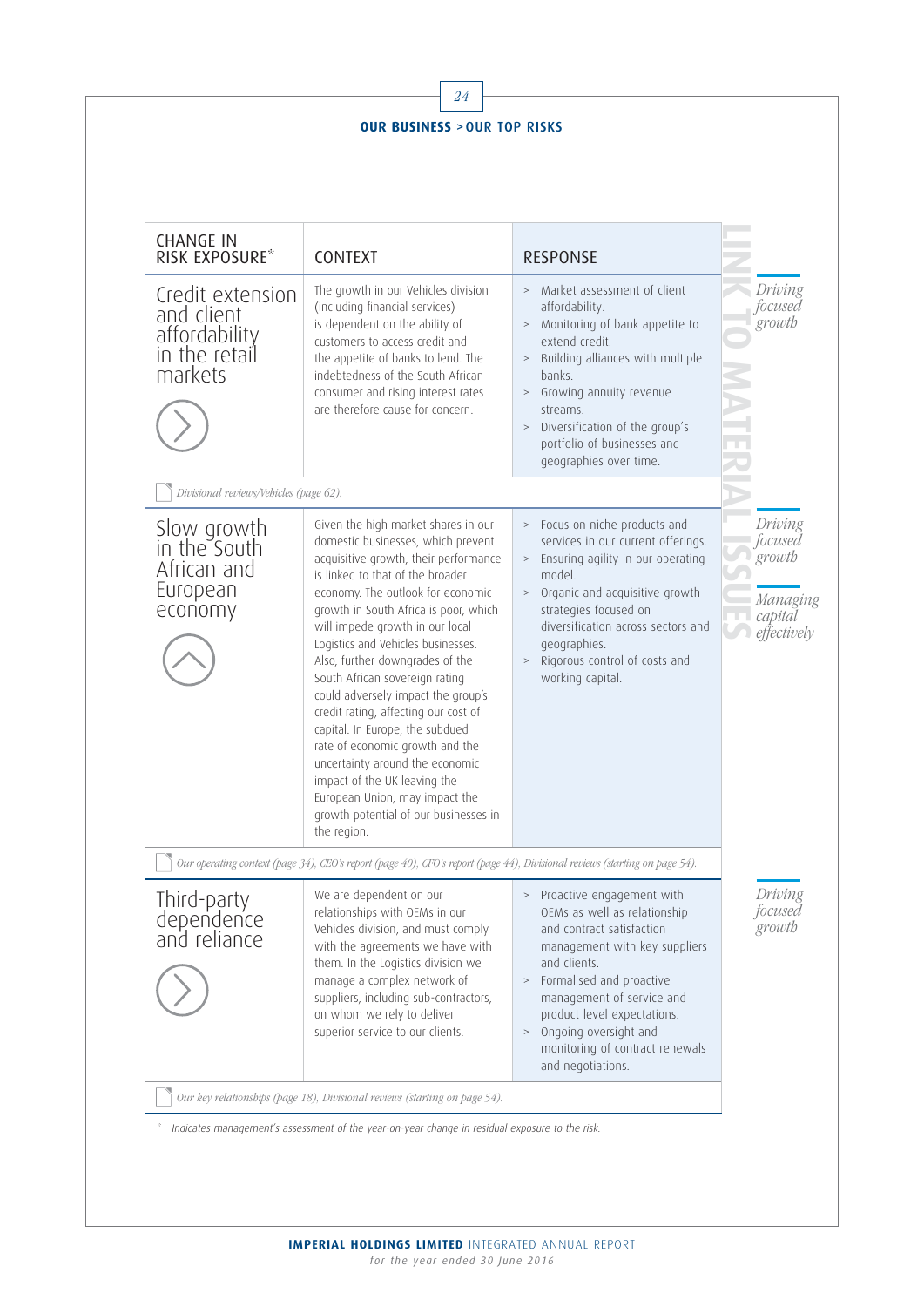| <b>OUR BUSINESS &gt; OUR TOP RISKS</b>                                      |                                                                                                                                                                                                                                                                                                                                                                                                                                                                                                                                                                                                                                                                                                     |                                                                                                                                                                                                                                                                                                                              |                                                                    |  |  |
|-----------------------------------------------------------------------------|-----------------------------------------------------------------------------------------------------------------------------------------------------------------------------------------------------------------------------------------------------------------------------------------------------------------------------------------------------------------------------------------------------------------------------------------------------------------------------------------------------------------------------------------------------------------------------------------------------------------------------------------------------------------------------------------------------|------------------------------------------------------------------------------------------------------------------------------------------------------------------------------------------------------------------------------------------------------------------------------------------------------------------------------|--------------------------------------------------------------------|--|--|
| <b>CHANGE IN</b><br>RISK EXPOSURE*                                          | CONTEXT                                                                                                                                                                                                                                                                                                                                                                                                                                                                                                                                                                                                                                                                                             | <b>RESPONSE</b>                                                                                                                                                                                                                                                                                                              |                                                                    |  |  |
| Credit extension<br>and client<br>affordability<br>in the retail<br>markets | The growth in our Vehicles division<br>(including financial services)<br>is dependent on the ability of<br>customers to access credit and<br>the appetite of banks to lend. The<br>indebtedness of the South African<br>consumer and rising interest rates<br>are therefore cause for concern.                                                                                                                                                                                                                                                                                                                                                                                                      | > Market assessment of client<br>affordability.<br>> Monitoring of bank appetite to<br>extend credit.<br>> Building alliances with multiple<br>banks.<br>> Growing annuity revenue<br>streams.<br>Diversification of the group's<br>$\, >$<br>portfolio of businesses and<br>geographies over time.                          | Driving<br>focused<br>growth                                       |  |  |
| Divisional reviews/Vehicles (page 62).                                      |                                                                                                                                                                                                                                                                                                                                                                                                                                                                                                                                                                                                                                                                                                     |                                                                                                                                                                                                                                                                                                                              |                                                                    |  |  |
| Slow growth<br>in the South<br>African and<br>European<br>economy           | Given the high market shares in our<br>domestic businesses, which prevent<br>acquisitive growth, their performance<br>is linked to that of the broader<br>economy. The outlook for economic<br>growth in South Africa is poor, which<br>will impede growth in our local<br>Logistics and Vehicles businesses.<br>Also, further downgrades of the<br>South African sovereign rating<br>could adversely impact the group's<br>credit rating, affecting our cost of<br>capital. In Europe, the subdued<br>rate of economic growth and the<br>uncertainty around the economic<br>impact of the UK leaving the<br>European Union, may impact the<br>growth potential of our businesses in<br>the region. | > Focus on niche products and<br>services in our current offerings.<br>> Ensuring agility in our operating<br>model.<br>> Organic and acquisitive growth<br>strategies focused on<br>diversification across sectors and<br>geographies.<br>> Rigorous control of costs and<br>working capital.                               | Driving<br>focused<br>growth<br>Managing<br>capital<br>effectively |  |  |
|                                                                             | Our operating context (page 34), CEO's report (page 40), CFO's report (page 44), Divisional reviews (starting on page 54).                                                                                                                                                                                                                                                                                                                                                                                                                                                                                                                                                                          |                                                                                                                                                                                                                                                                                                                              |                                                                    |  |  |
| Third-party<br>dependence<br>and reliance                                   | We are dependent on our<br>relationships with OEMs in our<br>Vehicles division, and must comply<br>with the agreements we have with<br>them. In the Logistics division we<br>manage a complex network of<br>suppliers, including sub-contractors,<br>on whom we rely to deliver<br>superior service to our clients.                                                                                                                                                                                                                                                                                                                                                                                 | Proactive engagement with<br>OEMs as well as relationship<br>and contract satisfaction<br>management with key suppliers<br>and clients.<br>> Formalised and proactive<br>management of service and<br>product level expectations.<br>Ongoing oversight and<br>$\, >$<br>monitoring of contract renewals<br>and negotiations. | Driving<br>focused<br>growth                                       |  |  |